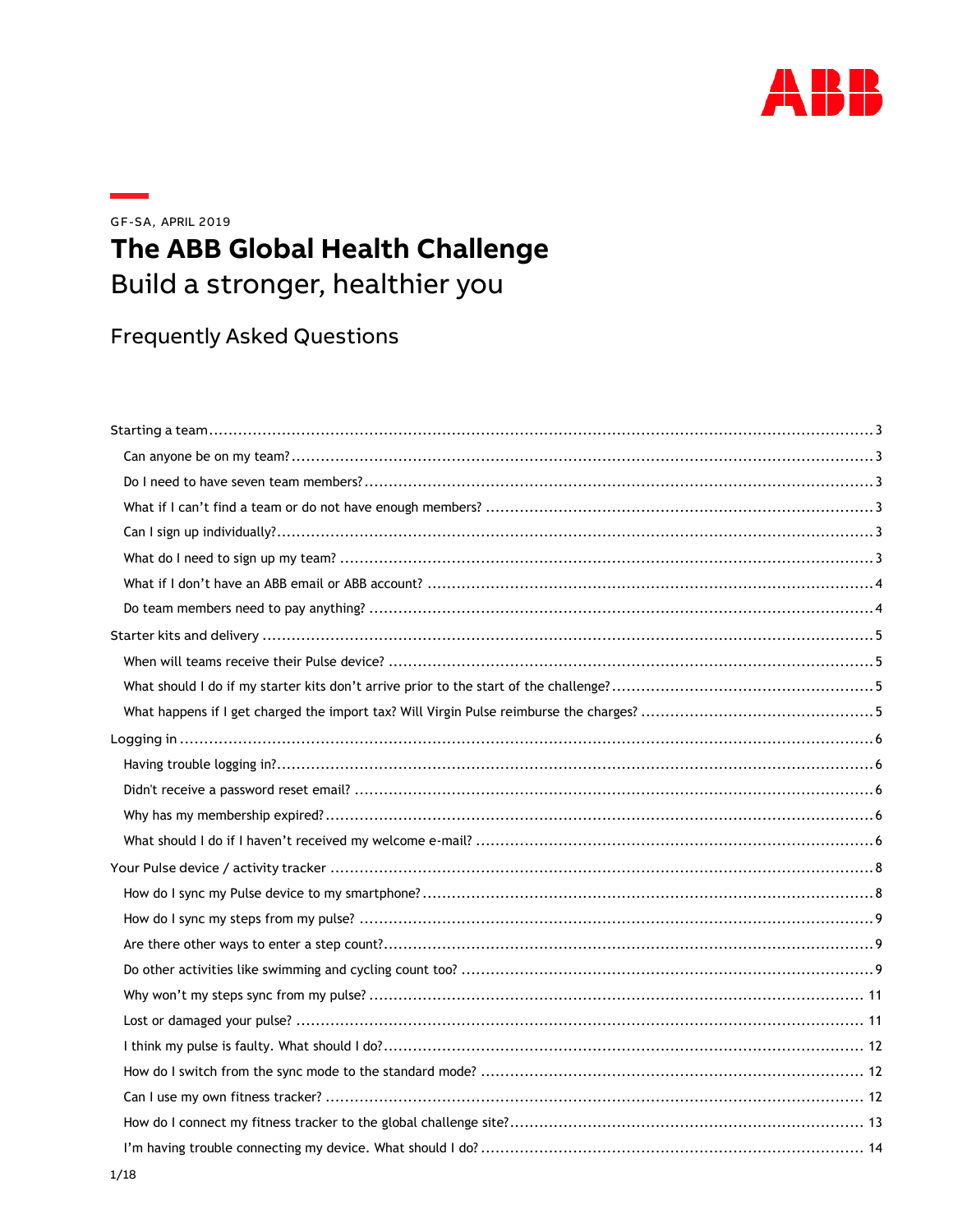

GF-SA, APRIL 2019

# The ABB Global Health Challenge Build a stronger, healthier you

**Frequently Asked Questions**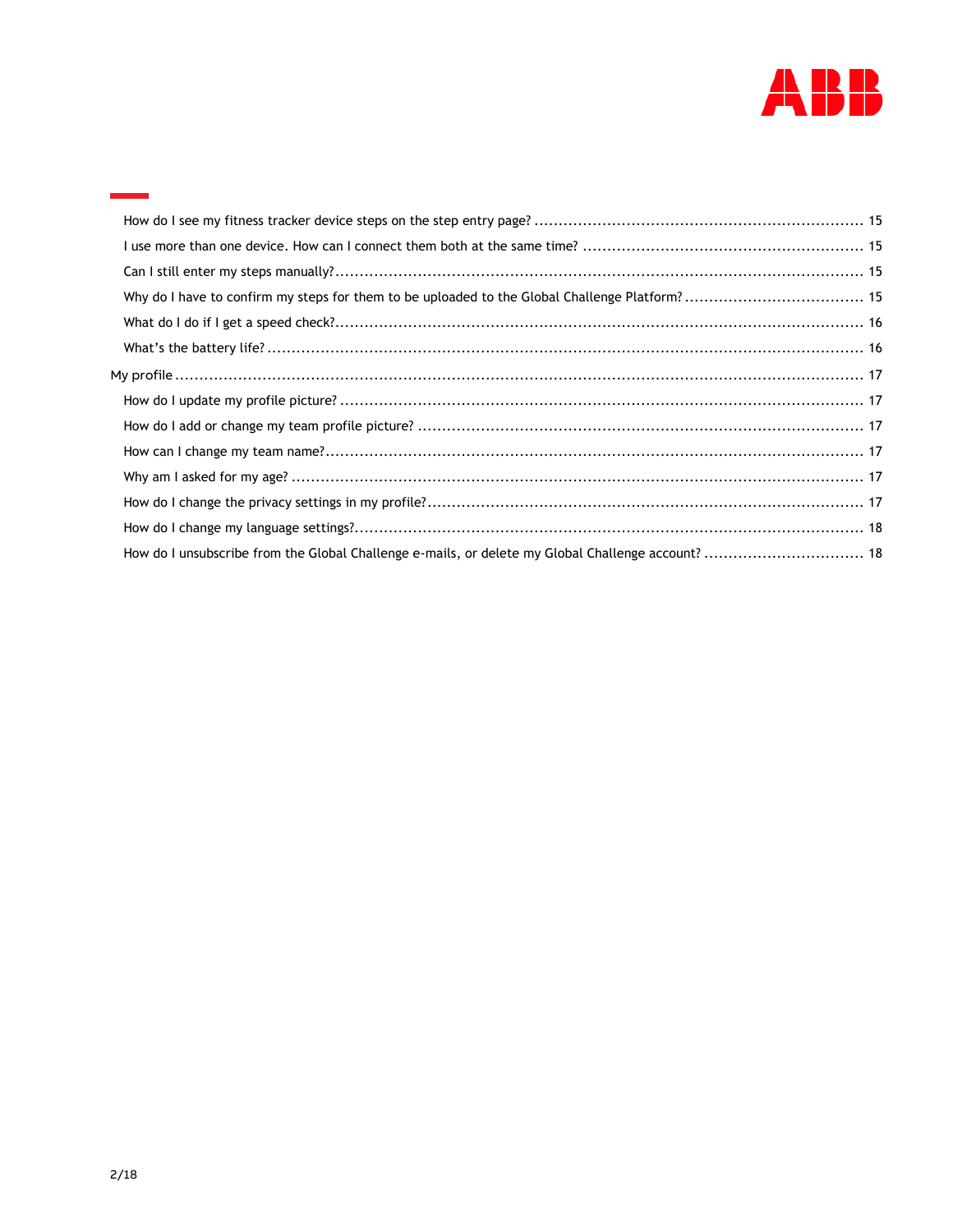

| How do I unsubscribe from the Global Challenge e-mails, or delete my Global Challenge account?  18 |  |
|----------------------------------------------------------------------------------------------------|--|
|                                                                                                    |  |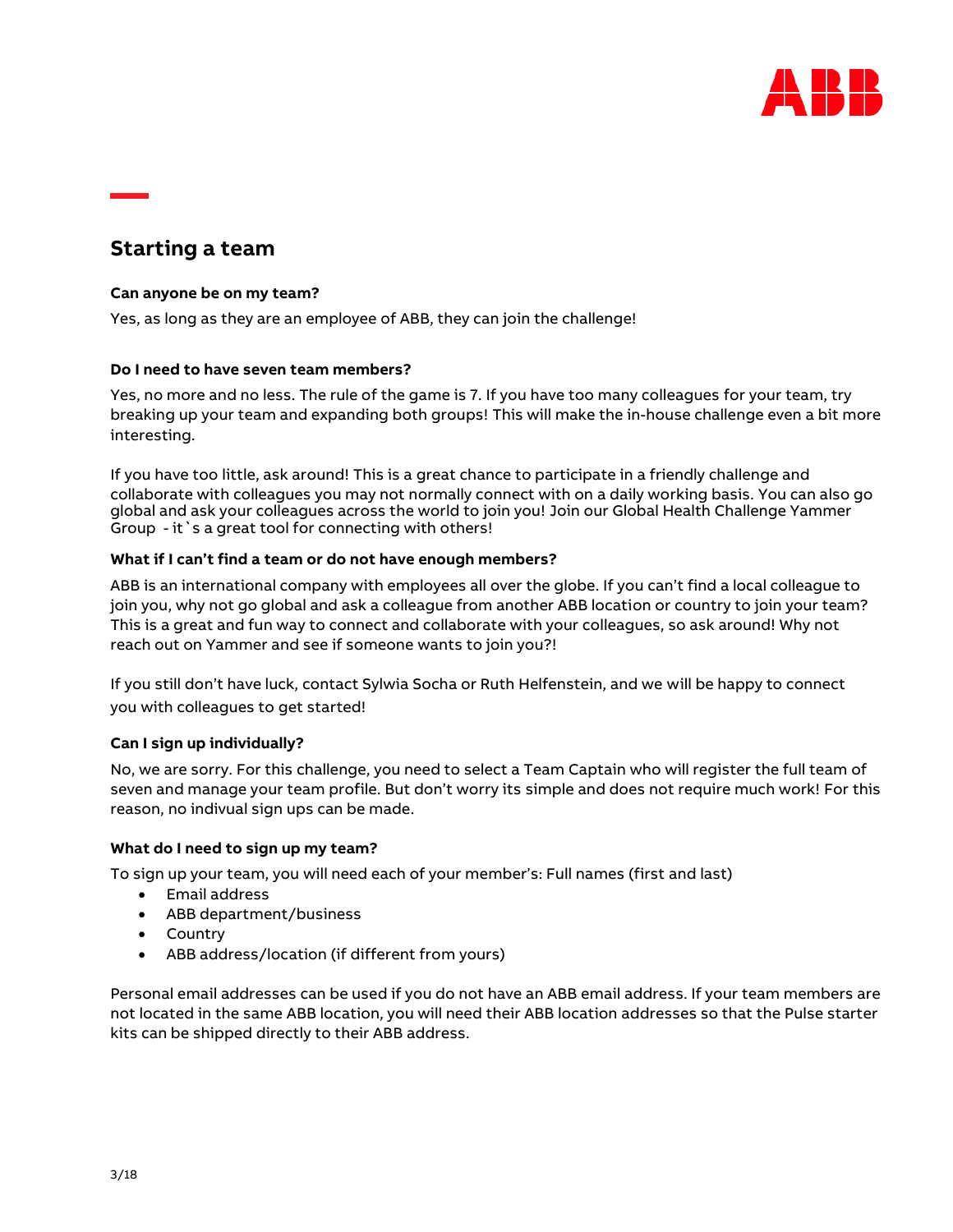

# <span id="page-2-0"></span>**Starting a team**

# <span id="page-2-1"></span>**Can anyone be on my team?**

Yes, as long as they are an employee of ABB, they can join the challenge!

# <span id="page-2-2"></span>**Do I need to have seven team members?**

Yes, no more and no less. The rule of the game is 7. If you have too many colleagues for your team, try breaking up your team and expanding both groups! This will make the in-house challenge even a bit more interesting.

If you have too little, ask around! This is a great chance to participate in a friendly challenge and collaborate with colleagues you may not normally connect with on a daily working basis. You can also go global and ask your colleagues across the world to join you! Join our Global Health Challenge Yammer Group - it `s a great tool for connecting with others!

# <span id="page-2-3"></span>**What if I can't find a team or do not have enough members?**

ABB is an international company with employees all over the globe. If you can't find a local colleague to join you, why not go global and ask a colleague from another ABB location or country to join your team? This is a great and fun way to connect and collaborate with your colleagues, so ask around! Why not reach out on Yammer and see if someone wants to join you?!

If you still don't have luck, contact Sylwia Socha or Ruth Helfenstein, and we will be happy to connect you with colleagues to get started!

# <span id="page-2-4"></span>**Can I sign up individually?**

No, we are sorry. For this challenge, you need to select a Team Captain who will register the full team of seven and manage your team profile. But don't worry its simple and does not require much work! For this reason, no indivual sign ups can be made.

#### <span id="page-2-5"></span>**What do I need to sign up my team?**

To sign up your team, you will need each of your member's: Full names (first and last)

- Email address
- ABB department/business
- Country
- ABB address/location (if different from yours)

Personal email addresses can be used if you do not have an ABB email address. If your team members are not located in the same ABB location, you will need their ABB location addresses so that the Pulse starter kits can be shipped directly to their ABB address.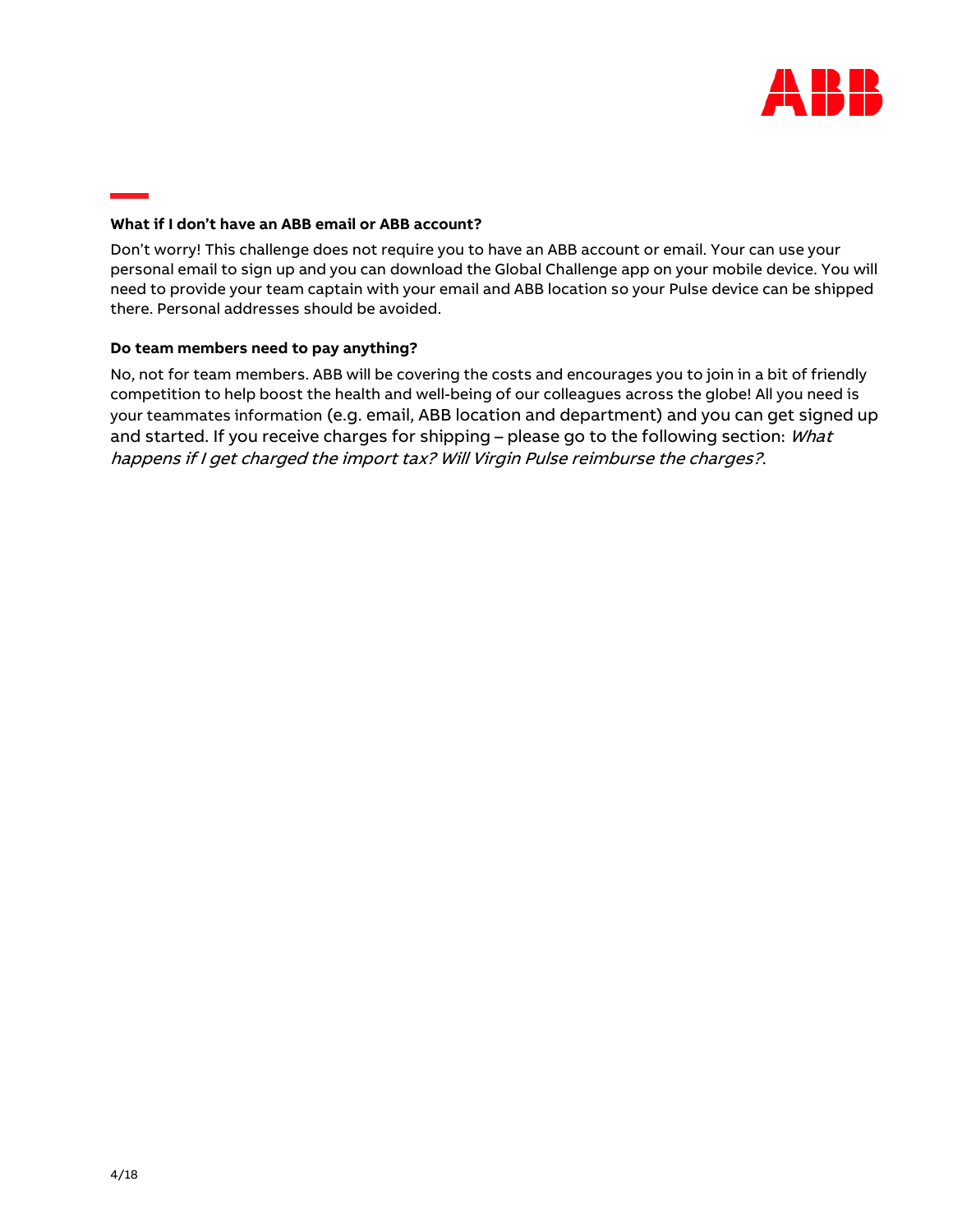

# <span id="page-3-0"></span>**What if I don't have an ABB email or ABB account?**

Don't worry! This challenge does not require you to have an ABB account or email. Your can use your personal email to sign up and you can download the Global Challenge app on your mobile device. You will need to provide your team captain with your email and ABB location so your Pulse device can be shipped there. Personal addresses should be avoided.

#### <span id="page-3-1"></span>**Do team members need to pay anything?**

No, not for team members. ABB will be covering the costs and encourages you to join in a bit of friendly competition to help boost the health and well-being of our colleagues across the globe! All you need is your teammates information (e.g. email, ABB location and department) and you can get signed up and started. If you receive charges for shipping – please go to the following section: *What* [happens if I get charged the import tax? Will Virgin Pulse reimburse the charges?](#page-4-3).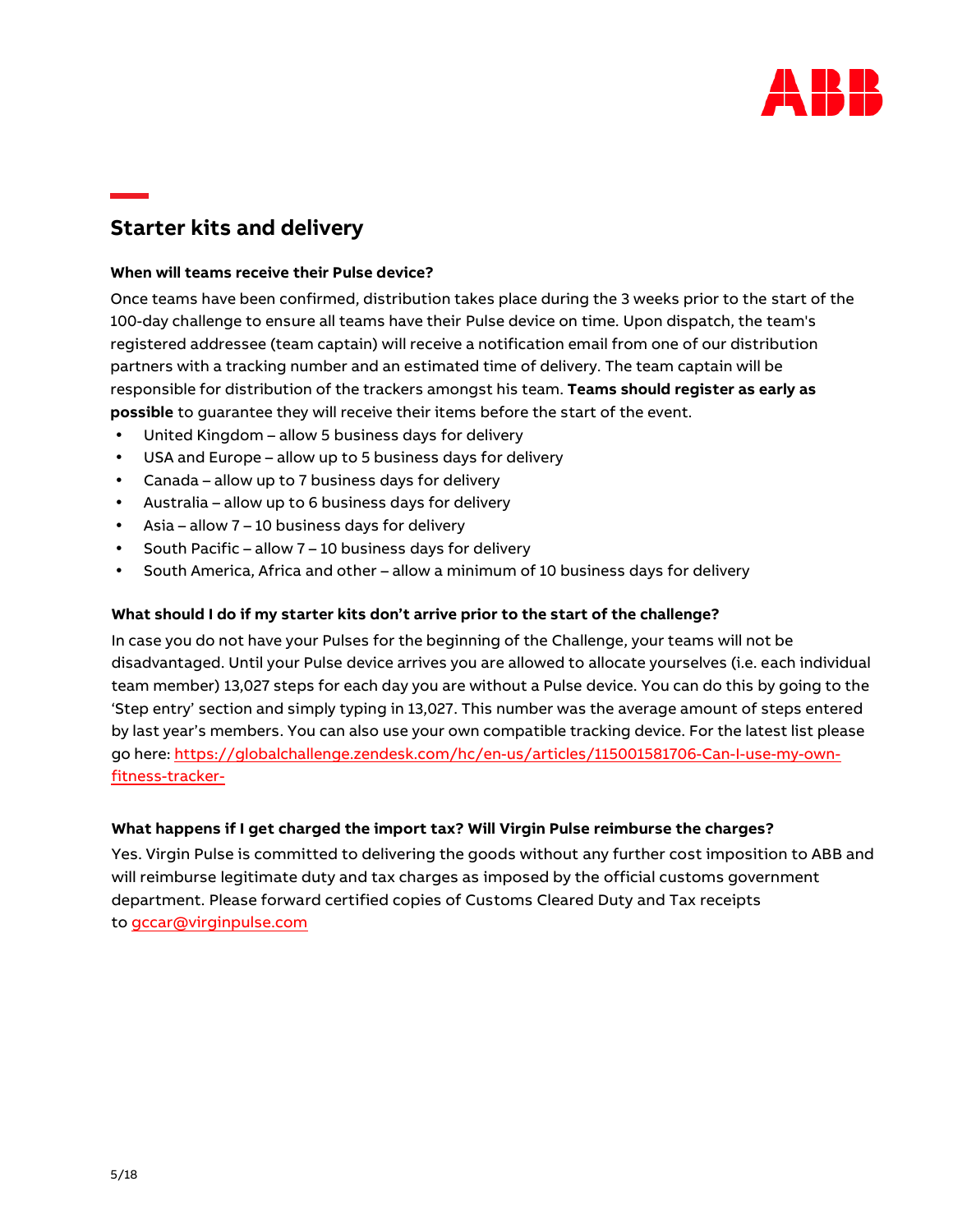

# <span id="page-4-0"></span>**Starter kits and delivery**

# <span id="page-4-1"></span>**When will teams receive their Pulse device?**

Once teams have been confirmed, distribution takes place during the 3 weeks prior to the start of the 100-day challenge to ensure all teams have their Pulse device on time. Upon dispatch, the team's registered addressee (team captain) will receive a notification email from one of our distribution partners with a tracking number and an estimated time of delivery. The team captain will be responsible for distribution of the trackers amongst his team. **Teams should register as early as possible** to guarantee they will receive their items before the start of the event.

- United Kingdom allow 5 business days for delivery
- USA and Europe allow up to 5 business days for delivery
- Canada allow up to 7 business days for delivery
- Australia allow up to 6 business days for delivery
- Asia allow 7 10 business days for delivery
- South Pacific allow 7 10 business days for delivery
- South America, Africa and other allow a minimum of 10 business days for delivery

# <span id="page-4-2"></span>**What should I do if my starter kits don't arrive prior to the start of the challenge?**

In case you do not have your Pulses for the beginning of the Challenge, your teams will not be disadvantaged. Until your Pulse device arrives you are allowed to allocate yourselves (i.e. each individual team member) 13,027 steps for each day you are without a Pulse device. You can do this by going to the 'Step entry' section and simply typing in 13,027. This number was the average amount of steps entered by last year's members. You can also use your own compatible tracking device. For the latest list please go here: https://globalchallenge.zendesk.com/hc/en-us/articles/115001581706-Can-I-use-my-ownfitness-tracker-

# <span id="page-4-3"></span>**What happens if I get charged the import tax? Will Virgin Pulse reimburse the charges?**

Y[es. Virgin Pulse is commit](mailto:gccar@virginpulse.com)ted to delivering the goods without any further cost imposition to ABB and will reimburse legitimate duty and tax charges as imposed by the official customs government department. Please forward certified copies of Customs Cleared Duty and Tax receipts to gccar@virginpulse.com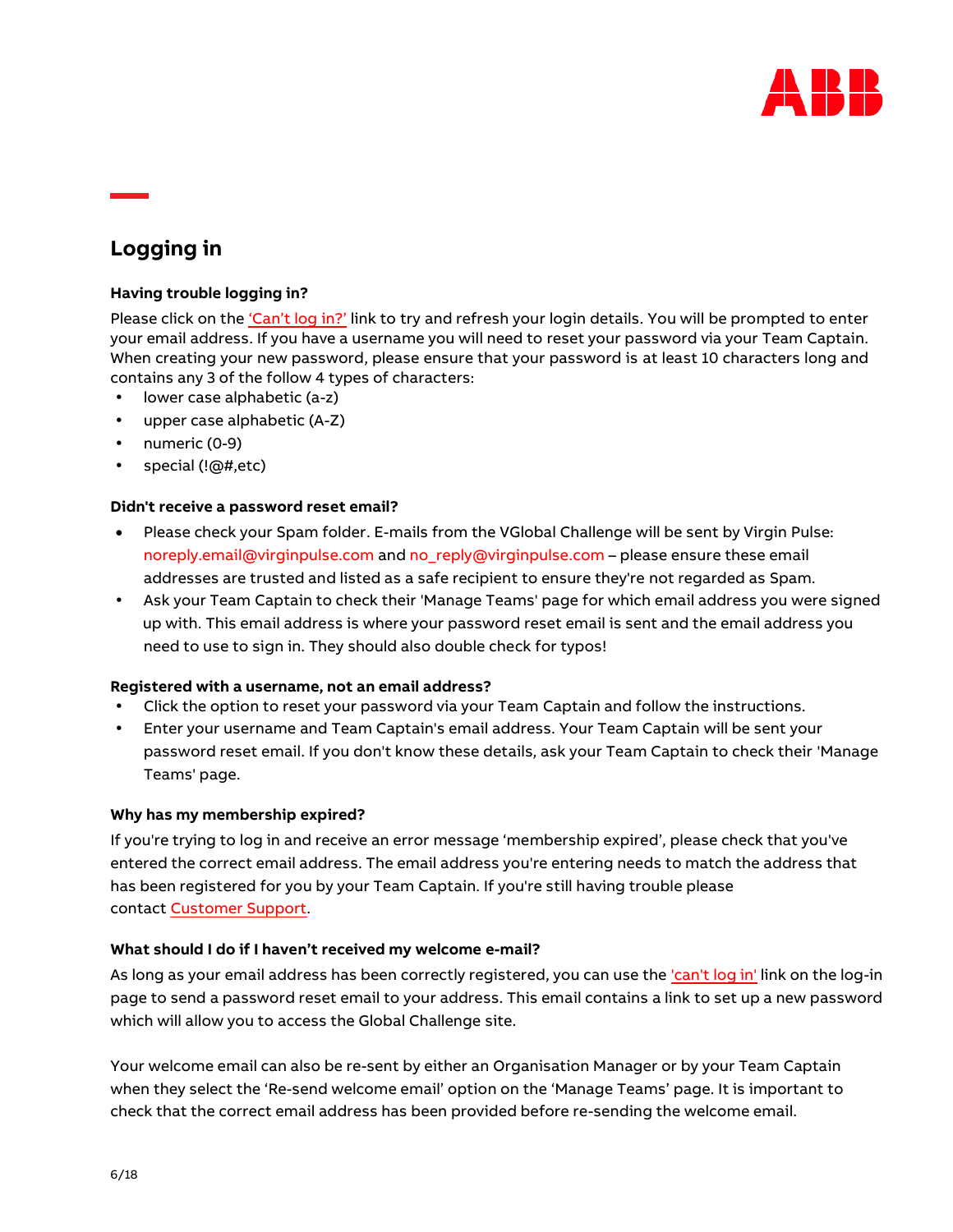

# <span id="page-5-0"></span>**Logging in**

# <span id="page-5-1"></span>**Having trouble logging in?**

Please click on the ['Can't log in?'](https://globalchallenge.virginpulse.com/forgot-password) link to try and refresh your login details. You will be prompted to enter your email address. If you have a username you will need to reset your password via your Team Captain. When creating your new password, please ensure that your password is at least 10 characters long and contains any 3 of the follow 4 types of characters:

- lower case alphabetic (a-z)
- upper case alphabetic (A-Z)
- numeric (0-9)
- special (!@#,etc)

#### <span id="page-5-2"></span>**Didn't receive a password reset email?**

- Please check your Spam folder. E-mails from the VGlobal Challenge will be sent by Virgin Pulse: [noreply.email@virginpulse.com](mailto:noreply.email@virginpulse.com) and [no\\_reply@virginpulse.com](mailto:no_reply@virginpulse.com) – please ensure these email addresses are trusted and listed as a safe recipient to ensure they're not regarded as Spam.
- Ask your Team Captain to check their ['Manage Teams' page](https://globalchallenge.virginpulse.com/manage/teams?teamid=243565&dashboardFilteredAreaIds=NoneSelected) for which email address you were signed up with. This email address is where your password reset email is sent and the email address you need to use to sign in. They should also double check for typos!

#### **Registered with a username, not an email address?**

- Click the option to reset your password via your Team Captain and follow the instructions.
- Enter your username and Team Captain's email address. Your Team Captain will be sent your password reset email. If you don't know these details, ask your Team Captain to check their ['Manage](https://globalchallenge.virginpulse.com/manage/teams?teamid=243565&dashboardFilteredAreaIds=NoneSelected)  [Teams' page.](https://globalchallenge.virginpulse.com/manage/teams?teamid=243565&dashboardFilteredAreaIds=NoneSelected)

#### <span id="page-5-3"></span>**Why has my membership expired?**

If you're trying to log in and receive an error message 'membership expired', please check that you've entered the correct email address. The email address you're entering needs to match the address that has been registered for you by your Team Captain. If you're still having trouble please contac[t Customer Support.](https://globalchallenge.zendesk.com/hc/en-us)

# <span id="page-5-4"></span>**What should I do if I haven't received my welcome e-mail?**

As long as your email address has been correctly registered, you can use the ['can't log in'](https://globalchallenge.virginpulse.com/forgot-password) link on the log-in page to send a password reset email to your address. This email contains a link to set up a new password which will allow you to access the Global Challenge site.

Your welcome email can also be re-sent by either an Organisation Manager or by your Team Captain when they select the 'Re-send welcome email' option on the ['Manage Teams'](https://globalchallenge.virginpulse.com/manage/) page. It is important to check that the correct email address has been provided before re-sending the welcome email.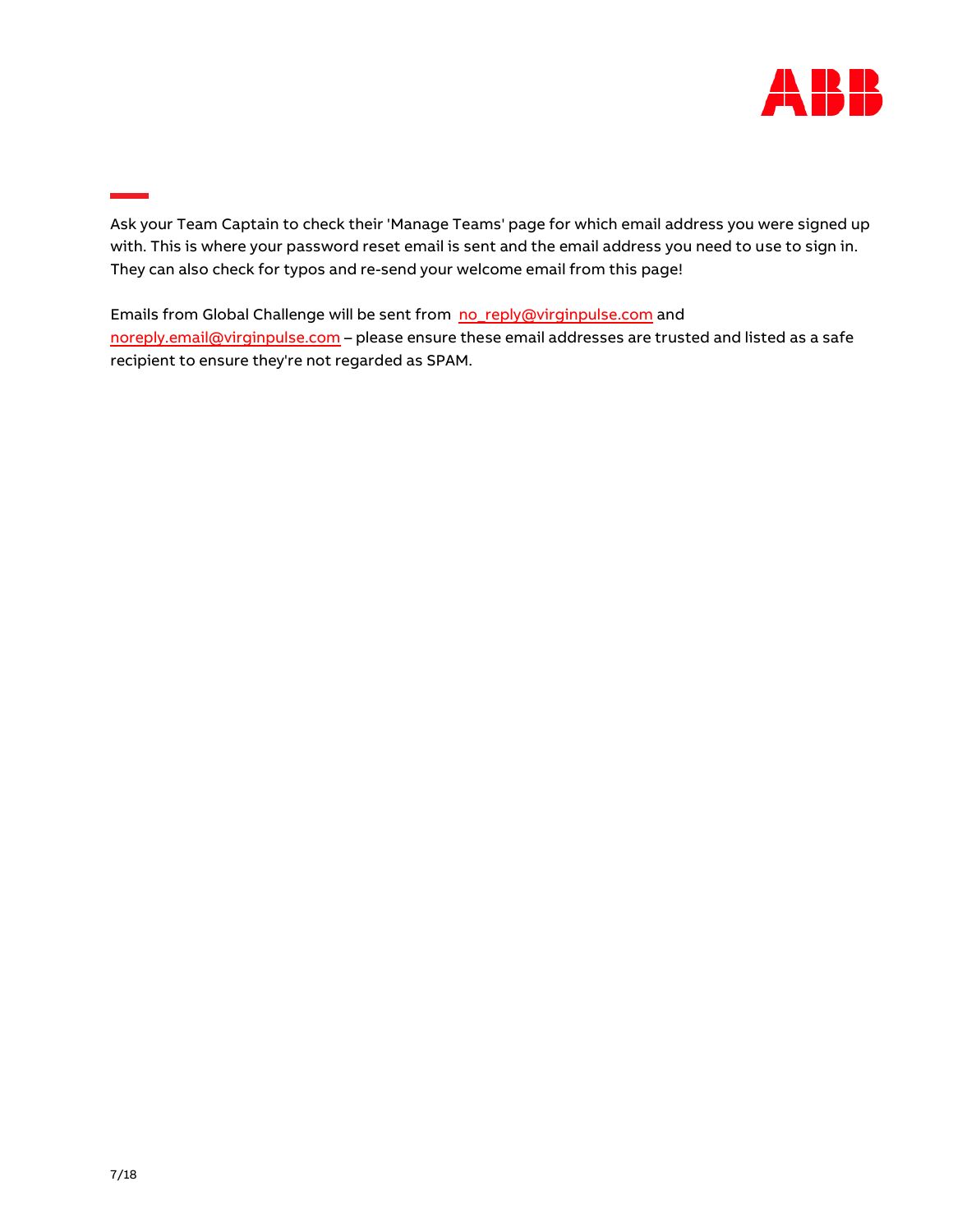

Ask your Team Captain to check their ['Manage Teams'](https://globalchallenge.virginpulse.com/manage/teams) page for which email address you were signed up with. This is where your password reset email is sent and the email address you need to use to sign in. They can also check for typos and re-send your welcome email from this page!

Emails from Global Challenge will be sent from [no\\_reply@virginpulse.com](mailto:no_reply@virginpulse.com) and [noreply.email@virginpulse.com](mailto:noreply.email@virginpulse.com) - please ensure these email addresses are trusted and listed as a safe recipient to ensure they're not regarded as SPAM.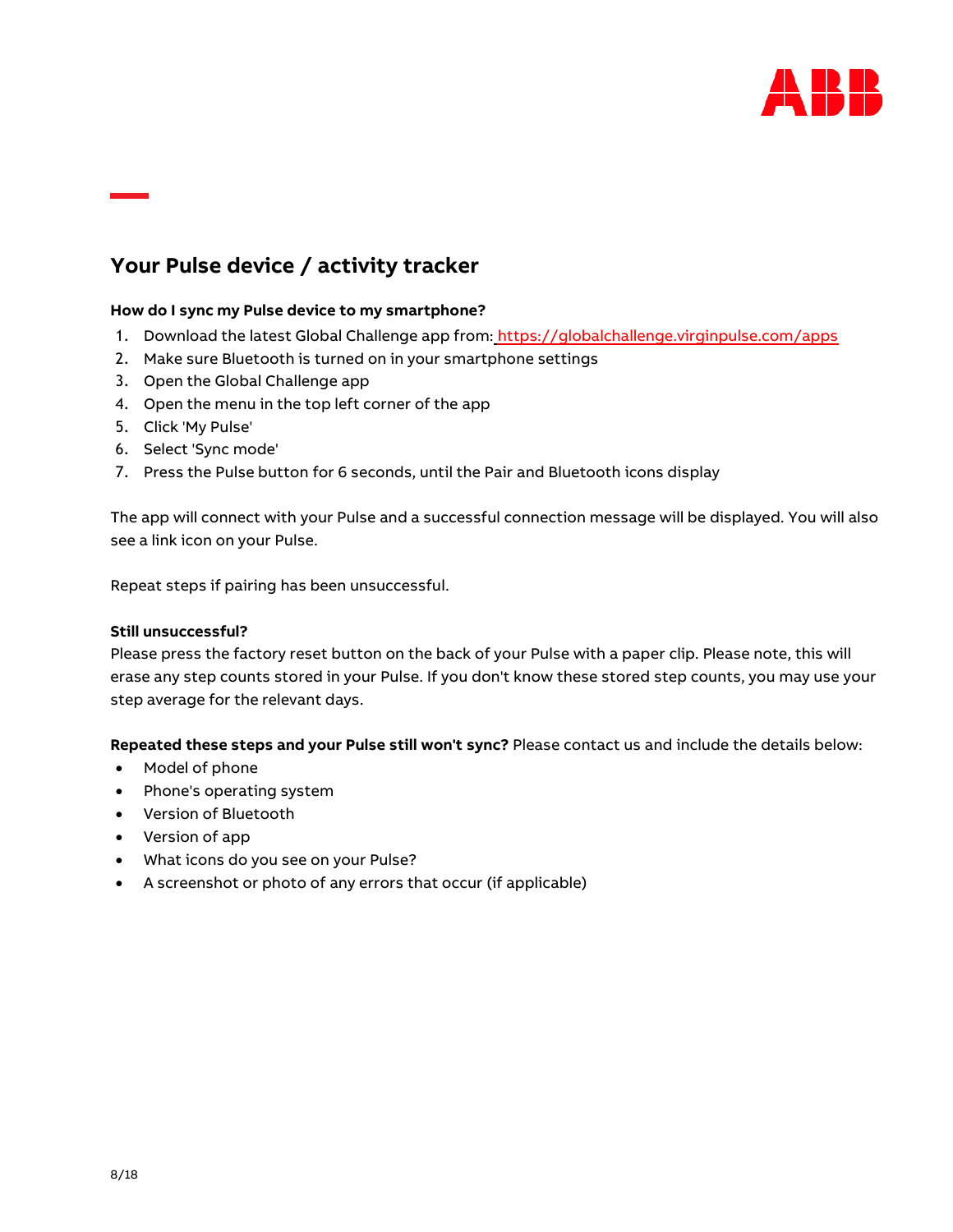

# <span id="page-7-0"></span>**Your Pulse device / activity tracker**

# <span id="page-7-1"></span>**How do I sync my Pulse device to my smartphone?**

- 1. Download the latest Global Challenge app from:<https://globalchallenge.virginpulse.com/apps>
- 2. Make sure Bluetooth is turned on in your smartphone settings
- 3. Open the Global Challenge app
- 4. Open the menu in the top left corner of the app
- 5. Click 'My Pulse'
- 6. Select 'Sync mode'
- 7. Press the Pulse button for 6 seconds, until the Pair and Bluetooth icons display

The app will connect with your Pulse and a successful connection message will be displayed. You will also see a link icon on your Pulse.

Repeat steps if pairing has been unsuccessful.

#### **Still unsuccessful?**

Please press the factory reset button on the back of your Pulse with a paper clip. Please note, this will erase any step counts stored in your Pulse. If you don't know these stored step counts, you may use your step average for the relevant days.

**Repeated these steps and your Pulse still won't sync?** Please contact us and include the details below:

- Model of phone
- Phone's operating system
- Version of Bluetooth
- Version of app
- What icons do you see on your Pulse?
- A screenshot or photo of any errors that occur (if applicable)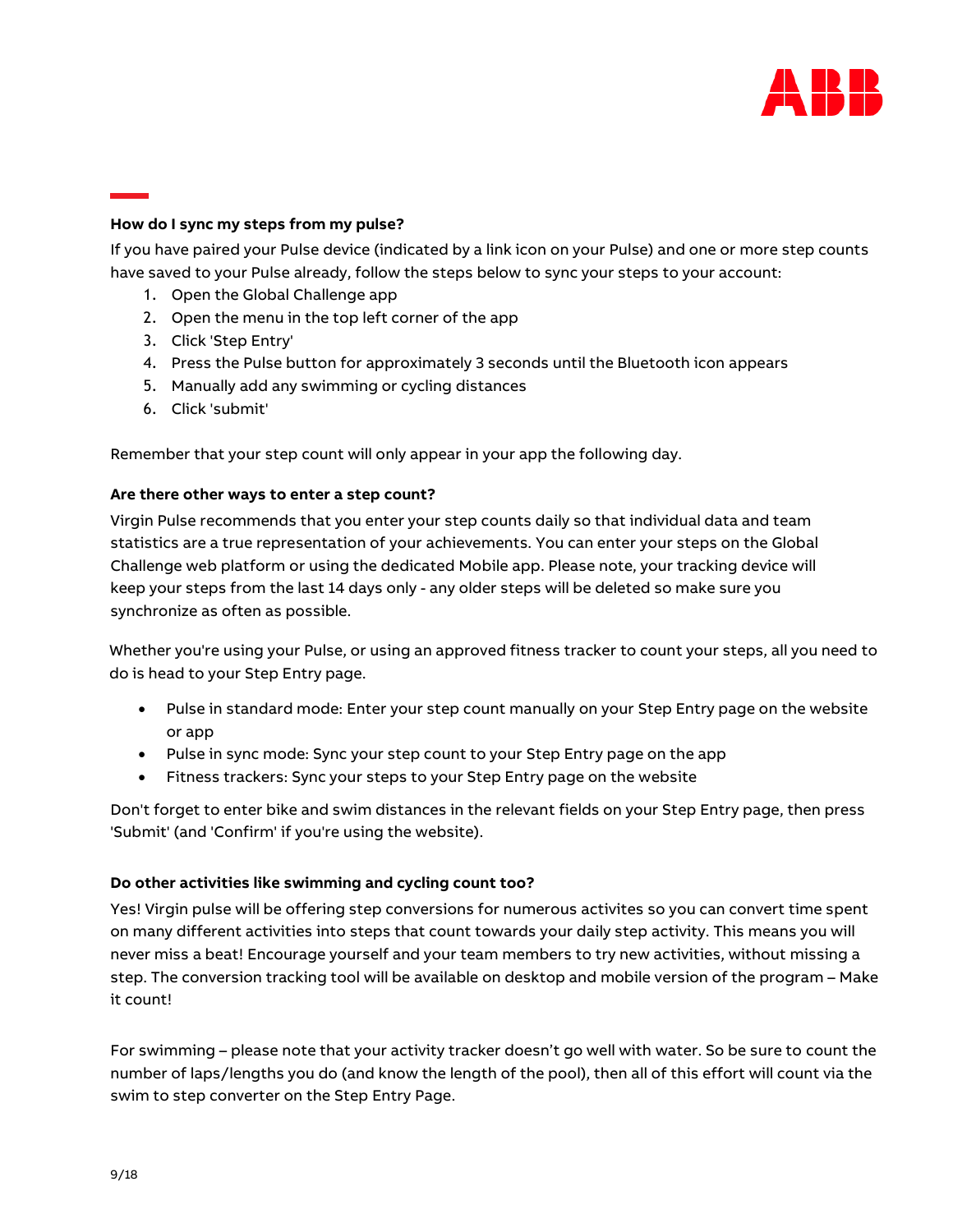

# <span id="page-8-0"></span>**How do I sync my steps from my pulse?**

If you have paired your Pulse device (indicated by a link icon on your Pulse) and one or more step counts have saved to your Pulse already, follow the steps below to sync your steps to your account:

- 1. Open the Global Challenge app
- 2. Open the menu in the top left corner of the app
- 3. Click 'Step Entry'
- 4. Press the Pulse button for approximately 3 seconds until the Bluetooth icon appears
- 5. Manually add any swimming or cycling distances
- 6. Click 'submit'

Remember that your step count will only appear in your app the following day.

# <span id="page-8-1"></span>**Are there other ways to enter a step count?**

Virgin Pulse recommends that you enter your step counts daily so that individual data and team statistics are a true representation of your achievements. You can enter your steps on the Global Challenge web platform or using the dedicated Mobile app. Please note, your tracking device will keep your steps from the last 14 days only - any older steps will be deleted so make sure you synchronize as often as possible.

Whether you're using your Pulse, or using an approved fitness tracker to count your steps, all you need to do is head to your Step Entry page.

- Pulse in standard mode: Enter your step count manually on your Step Entry page on the website or app
- Pulse in sync mode: Sync your step count to your Step Entry page on the app
- Fitness trackers: Sync your steps to your Step Entry page on the website

Don't forget to enter bike and swim distances in the relevant fields on your Step Entry page, then press 'Submit' (and 'Confirm' if you're using the website).

# <span id="page-8-2"></span>**Do other activities like swimming and cycling count too?**

Yes! Virgin pulse will be offering step conversions for numerous activites so you can convert time spent on many different activities into steps that count towards your daily step activity. This means you will never miss a beat! Encourage yourself and your team members to try new activities, without missing a step. The conversion tracking tool will be available on desktop and mobile version of the program – Make it count!

For swimming – please note that your activity tracker doesn't go well with water. So be sure to count the number of laps/lengths you do (and know the length of the pool), then all of this effort will count via the swim to step converter on the Step Entry Page.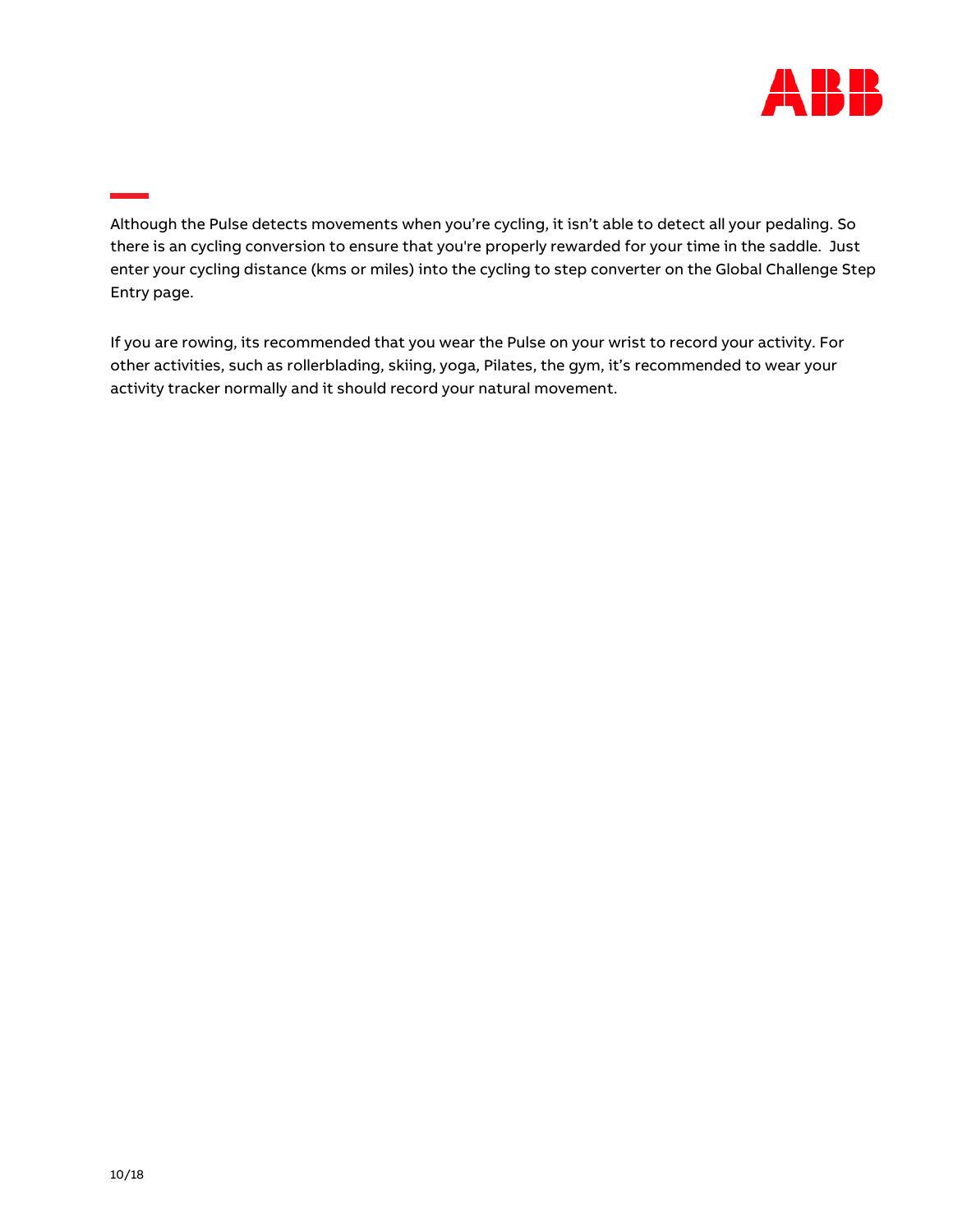

Although the Pulse detects movements when you're cycling, it isn't able to detect all your pedaling. So there is an cycling conversion to ensure that you're properly rewarded for your time in the saddle. Just enter your cycling distance (kms or miles) into the cycling to step converter on the Global Challenge Step Entry page.

If you are rowing, its recommended that you wear the Pulse on your wrist to record your activity. For other activities, such as rollerblading, skiing, yoga, Pilates, the gym, it's recommended to wear your activity tracker normally and it should record your natural movement.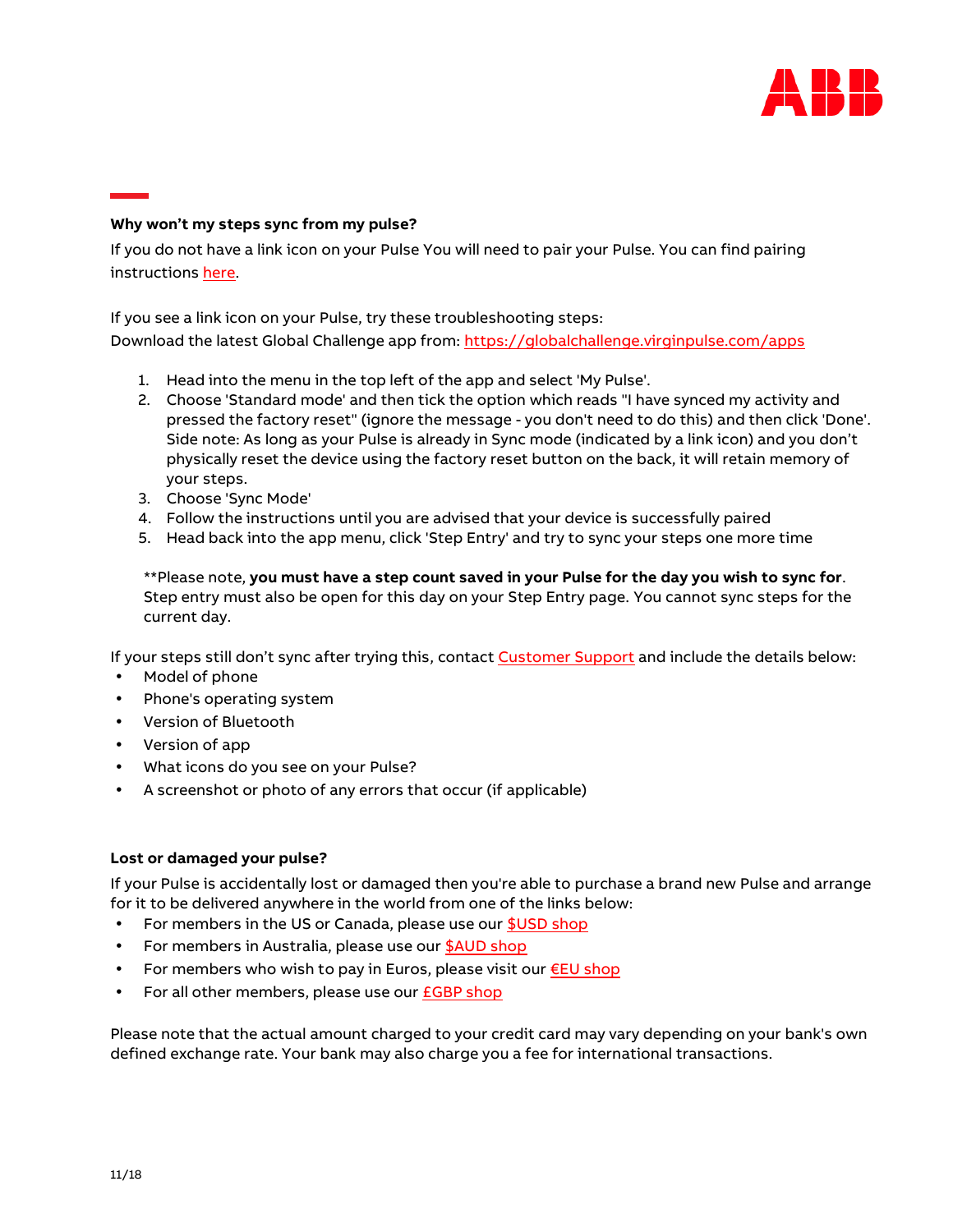

# <span id="page-10-0"></span>**Why won't my steps sync from my pulse?**

If you do not have a link icon on your Pulse You will need to pair your Pulse. You can find pairing instruction[s here.](https://support.gettheworldmoving.com/hc/en-gb/articles/205854466-Pairing-and-syncing-your-Pulse)

If you see a link icon on your Pulse, try these troubleshooting steps:

Download the latest Global Challenge app from:<https://globalchallenge.virginpulse.com/apps>

- 1. Head into the menu in the top left of the app and select 'My Pulse'.
- 2. Choose 'Standard mode' and then tick the option which reads "I have synced my activity and pressed the factory reset" (ignore the message - you don't need to do this) and then click 'Done'. Side note: As long as your Pulse is already in Sync mode (indicated by a link icon) and you don't physically reset the device using the factory reset button on the back, it will retain memory of your steps.
- 3. Choose 'Sync Mode'
- 4. Follow the instructions until you are advised that your device is successfully paired
- 5. Head back into the app menu, click 'Step Entry' and try to sync your steps one more time

\*\*Please note, **you must have a step count saved in your Pulse for the day you wish to sync for**. Step entry must also be open for this day on your Step Entry page. You cannot sync steps for the current day.

If your steps still don't sync after trying this, contact [Customer Support](https://globalchallenge.zendesk.com/hc/en-us) and include the details below:

- Model of phone
- Phone's operating system
- Version of Bluetooth
- Version of app
- What icons do you see on your Pulse?
- A screenshot or photo of any errors that occur (if applicable)

#### <span id="page-10-1"></span>**Lost or damaged your pulse?**

If your Pulse is accidentally lost or damaged then you're able to purchase a brand new Pulse and arrange for it to be delivered anywhere in the world from one of the links below:

- For members in the US or Canada, please use our [\\$USD shop](http://us.shop.gettheworldmoving.com/products/gcc-pulse)
- For members in Australia, please use our **\$AUD** shop
- For members who wish to pay in Euros, please visit our  $E$ U shop
- For all other members, please use our **£GBP** shop

Please note that the actual amount charged to your credit card may vary depending on your bank's own defined exchange rate. Your bank may also charge you a fee for international transactions.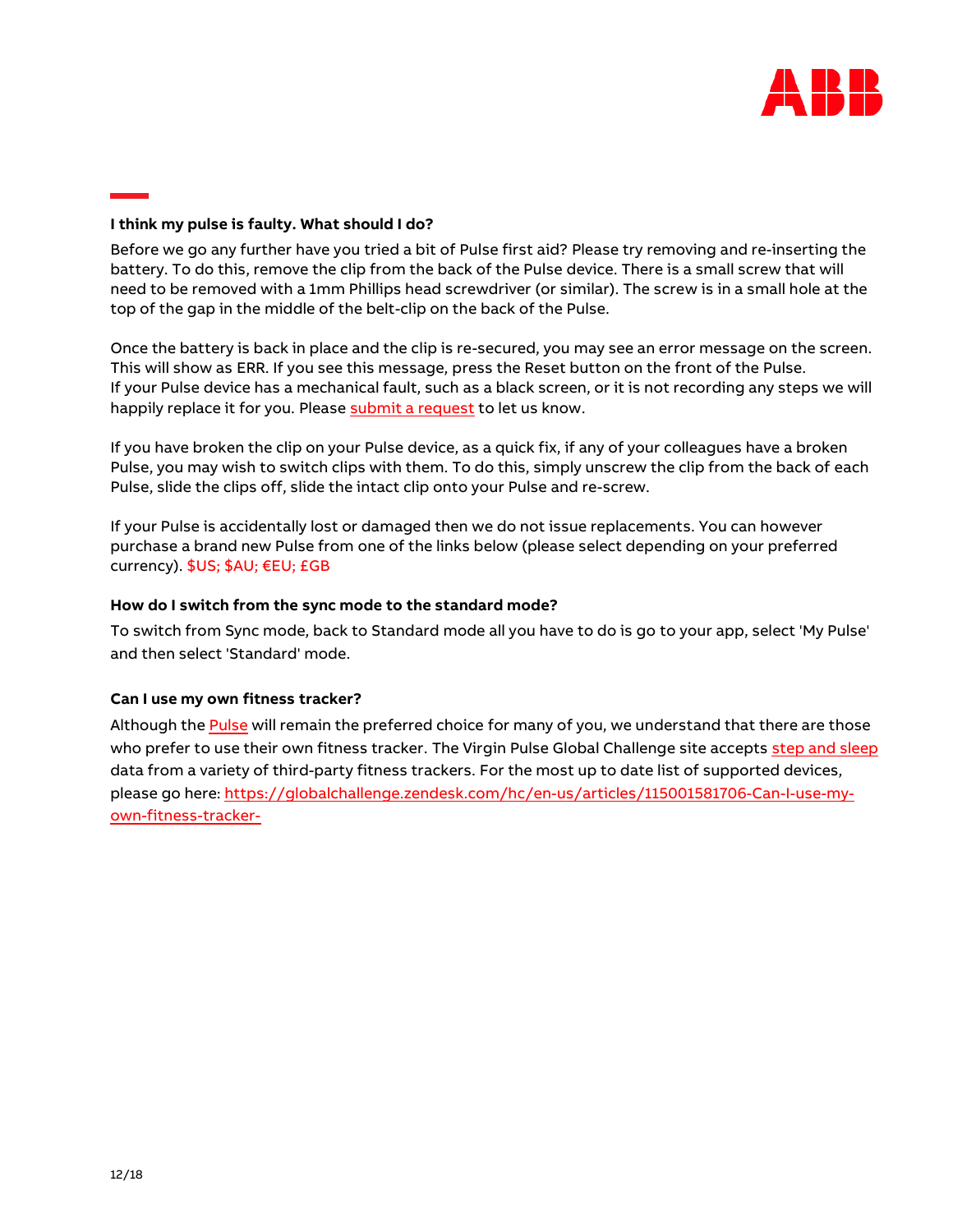

#### <span id="page-11-0"></span>**I think my pulse is faulty. What should I do?**

Before we go any further have you tried a bit of Pulse first aid? Please try removing and re-inserting the battery. To do this, remove the clip from the back of the Pulse device. There is a small screw that will need to be removed with a 1mm Phillips head screwdriver (or similar). The screw is in a small hole at the top of the gap in the middle of the belt-clip on the back of the Pulse.

Once the battery is back in place and the clip is re-secured, you may see an error message on the screen. This will show as ERR. If you see this message, press the Reset button on the front of the Pulse. If your Pulse device has a mechanical fault, such as a black screen, or it is not recording any steps we will happily replace it for you. Please [submit a request t](https://support.gettheworldmoving.com/hc/en-us/requests/new)o let us know.

If you have broken the clip on your Pulse device, as a quick fix, if any of your colleagues have a broken Pulse, you may wish to switch clips with them. To do this, simply unscrew the clip from the back of each Pulse, slide the clips off, slide the intact clip onto your Pulse and re-screw.

If your Pulse is accidentally lost or damaged then we do not issue replacements. You can however purchase a brand new Pulse from one of the links below (please select depending on your preferred currency). [\\$US;](http://us.shop.gettheworldmoving.com/) [\\$AU;](http://au.shop.gettheworldmoving.com/) [€EU](http://eu.shop.gettheworldmoving.com/)[; £GB](http://uk.shop.gettheworldmoving.com/)

#### <span id="page-11-1"></span>**How do I switch from the sync mode to the standard mode?**

To switch from Sync mode, back to Standard mode all you have to do is go to your app, select 'My Pulse' and then select 'Standard' mode.

#### <span id="page-11-2"></span>**Can I use my own fitness tracker?**

Although the [Pulse w](https://globalchallenge.virginpulse.com/pulse)ill remain the preferred choice for many of you, we understand that there are those who prefer to use their own fitness tracker. The Virgin Pulse Global Challenge site accepts [step and sleep](https://support.gettheworldmoving.com/hc/en-gb/articles/204670845-What-data-can-be-synced-) [data f](https://support.gettheworldmoving.com/hc/en-gb/articles/204670845-What-data-can-be-synced-)rom a variety of third-party fitness trackers. For the most up to date list of supported devices, please go here: https://globalchallenge.zendesk.com/hc/en-us/articles/115001581706-Can-I-use-myown-fitness-tracker-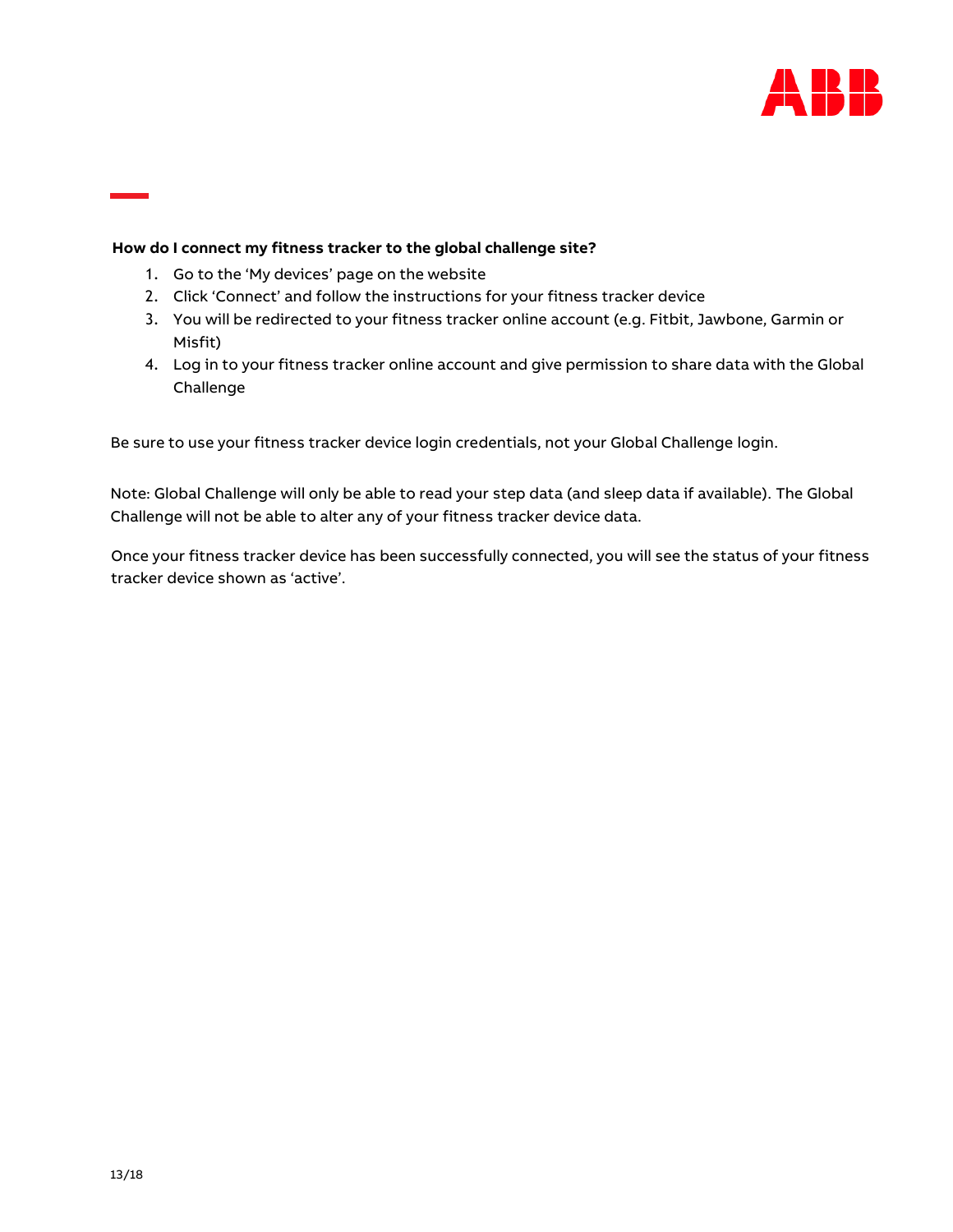

# **How do I connect my fitness tracker to the global challenge site?**

- 1. Go to the 'My devices' page on the website
- 2. Click 'Connect' and follow the instructions for your fitness tracker device
- 3. You will be redirected to your fitness tracker online account (e.g. Fitbit, Jawbone, Garmin or Misfit)
- 4. Log in to your fitness tracker online account and give permission to share data with the Global Challenge

Be sure to use your fitness tracker device login credentials, not your Global Challenge login.

Note: Global Challenge will only be able to read your step data (and sleep data if available). The Global Challenge will not be able to alter any of your fitness tracker device data.

<span id="page-12-0"></span>Once your fitness tracker device has been successfully connected, you will see the status of your fitness tracker device sh[own as 'active](https://globalchallenge.virginpulse.com/profile/devices/begin)'.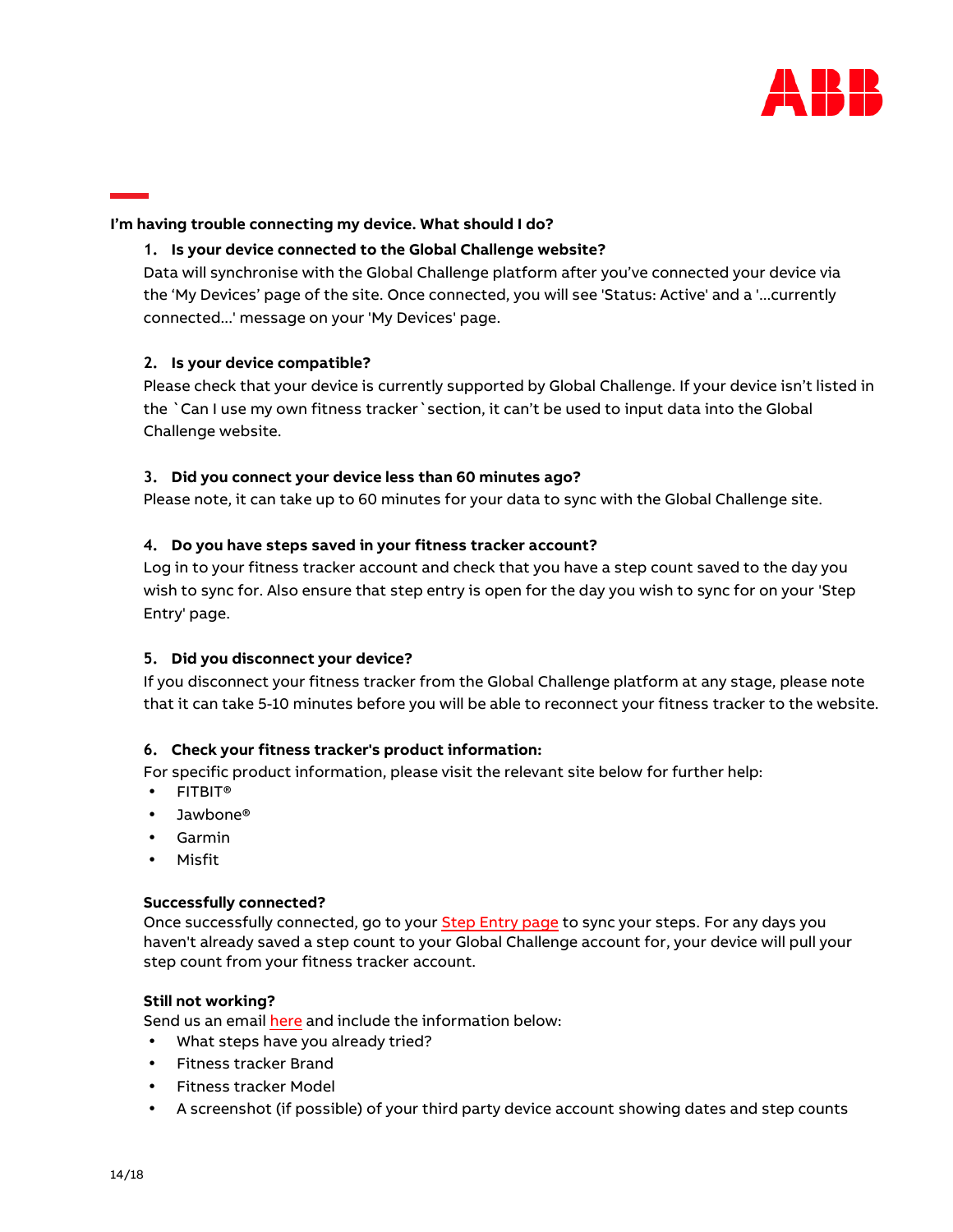

# <span id="page-13-0"></span>**I'm having trouble connecting my device. What should I do?**

# **1. Is your device connected to the Global Challenge website?**

Data will synchronise with the Global Challenge platform after you've connected your device via the ['My Devices' page](https://globalchallenge.virginpulse.com/profile/devices/begin) of the site. Once connected, you will see 'Status: Active' and a '...currently connected...' message on your 'My Devices' page.

# **2. Is your device compatible?**

Please check that your device is currently supported by Global Challenge. If your device isn't listed in the `Can I use my own fitness tracker`section, it can't be used to input data into the Global Challenge website.

# **3. Did you connect your device less than 60 minutes ago?**

Please note, it can take up to 60 minutes for your data to sync with the Global Challenge site.

# **4. Do you have steps saved in your fitness tracker account?**

Log in to your fitness tracker account and check that you have a step count saved to the day you wish to sync for. Also ensure that step entry is open for the day you wish to sync for on your ['Step](https://globalchallenge.virginpulse.com/steps)  [Entry' page.](https://globalchallenge.virginpulse.com/steps)

#### **5. Did you disconnect your device?**

If you disconnect your fitness tracker from the Global Challenge platform at any stage, please note that it can take 5-10 minutes before you will be able to reconnect your fitness tracker to the website.

#### **6. Check your fitness tracker's product information:**

For specific product information, please visit the relevant site below for further help:

- [FITBIT®](http://help.fitbit.com/)
- [Jawbone®](https://help.jawbone.com/)
- [Garmin](http://www.garmin.com/us/support/)
- [Misfit](https://misfit.com/catalogsearch/result/support/)

#### **Successfully connected?**

Once successfully connected, go to your [Step Entry page t](https://globalchallenge.virginpulse.com/steps)o sync your steps. For any days you haven't already saved a step count to your Global Challenge account for, your device will pull your step count from your fitness tracker account.

#### **Still not working?**

Send us an emai[l here a](https://globalchallenge.zendesk.com/hc/en-us)nd include the information below:

- What steps have you already tried?
- Fitness tracker Brand
- Fitness tracker Model
- A screenshot (if possible) of your third party device account showing dates and step counts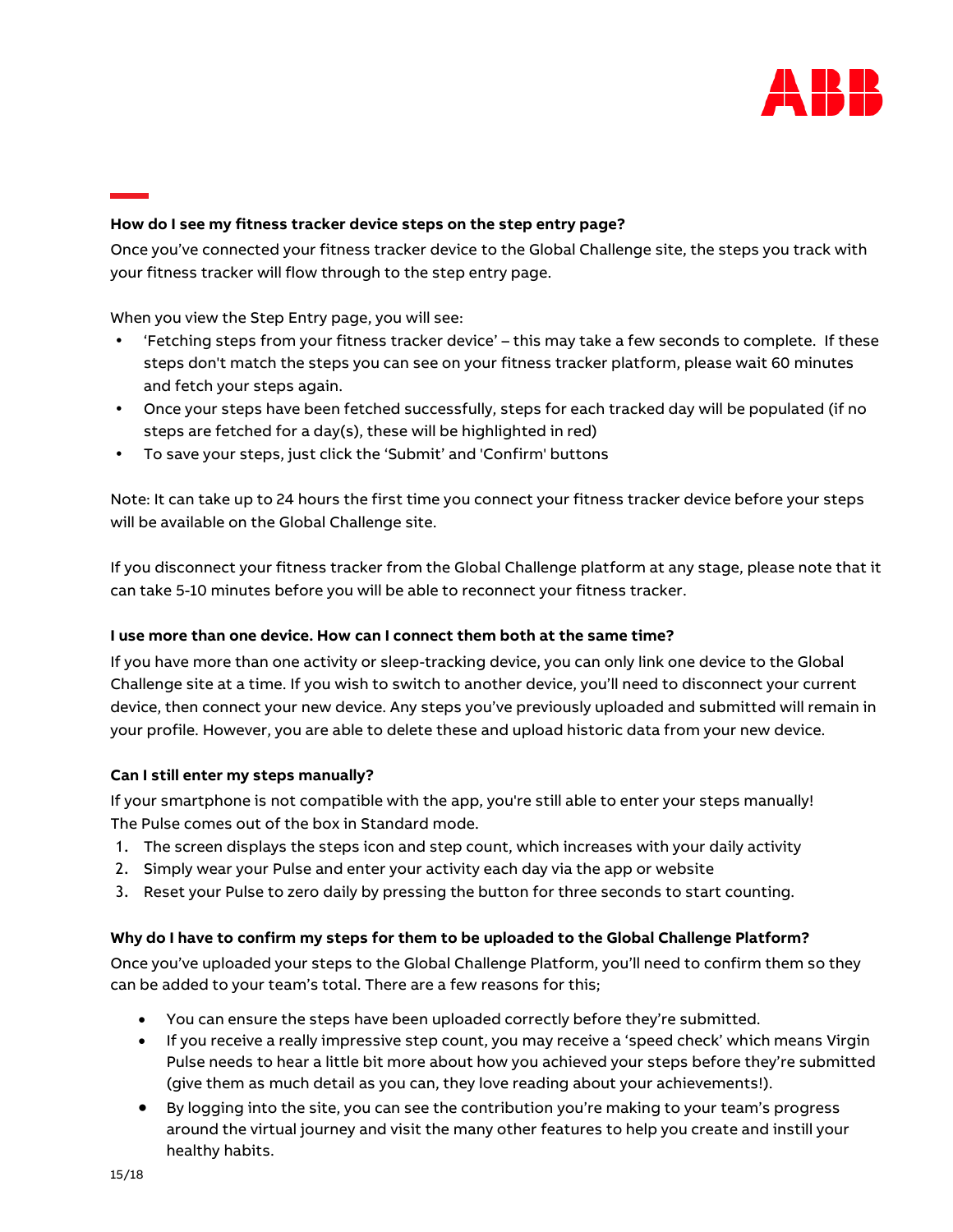

# <span id="page-14-0"></span>**How do I see my fitness tracker device steps on the step entry page?**

Once you've [connected your fitness tracker device](https://support.gettheworldmoving.com/hc/en-gb/articles/203971329-How-do-I-connect-my-fitness-tracker-to-the-GCC-site-) to the Global Challenge site, the steps you track with your fitness tracker will flow through to the step entry page.

When you view the Step Entry page, you will see:

- 'Fetching steps from your fitness tracker device' this may take a few seconds to complete. If these steps don't match the steps you can see on your fitness tracker platform, please wait 60 minutes and fetch your steps again.
- Once your steps have been fetched successfully, steps for each tracked day will be populated (if no steps are fetched for a day(s), these will be highlighted in red)
- To save your steps, just click the 'Submit' and 'Confirm' buttons

Note: It can take up to 24 hours the first time you connect your fitness tracker device before your steps will be available on the Global Challenge site.

If you disconnect your fitness tracker from the Global Challenge platform at any stage, please note that it can take 5-10 minutes before you will be able to reconnect your fitness tracker.

# <span id="page-14-1"></span>**I use more than one device. How can I connect them both at the same time?**

If you have more than one activity or sleep-tracking device, you can only link one device to the Global Challenge site at a time. If you wish to switch to another device, you'll need to disconnect your current device, then connect your new device. Any steps you've previously uploaded and submitted will remain in your profile. However, you are able to delete these and upload historic data from your new device.

# <span id="page-14-2"></span>**Can I still enter my steps manually?**

If your smartphone is not compatible with the app, you're still able to enter your steps manually! The Pulse comes out of the box in Standard mode.

- 1. The screen displays the steps icon and step count, which increases with your daily activity
- 2. Simply wear your Pulse and enter your activity each day via the app or website
- 3. Reset your Pulse to zero daily by pressing the button for three seconds to start counting.

# <span id="page-14-3"></span>**Why do I have to confirm my steps for them to be uploaded to the Global Challenge Platform?**

Once you've uploaded your steps to the Global Challenge Platform, you'll need to confirm them so they can be added to your team's total. There are a few reasons for this;

- You can ensure the steps have been uploaded correctly before they're submitted.
- If you receive a really impressive step count, you may receive a 'speed check' which means Virgin Pulse needs to hear a little bit more about how you achieved your steps before they're submitted (give them as much detail as you can, they love reading about your achievements!).
- By logging into the site, you can see the contribution you're making to your team's progress around the virtual journey and visit the many other features to help you create and instill your healthy habits.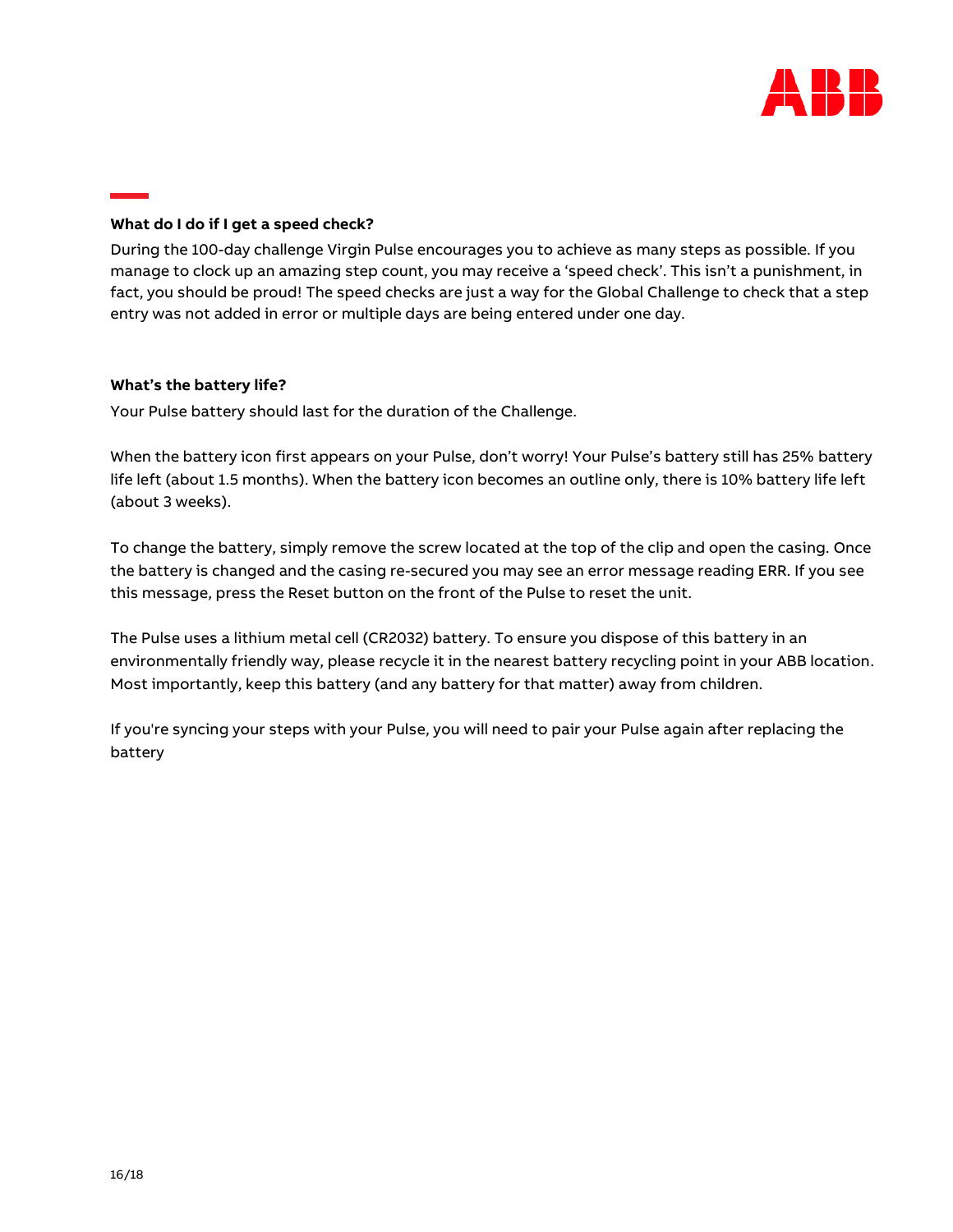

# <span id="page-15-0"></span>**What do I do if I get a speed check?**

During the 100-day challenge Virgin Pulse encourages you to achieve as many steps as possible. If you manage to clock up an amazing step count, you may receive a 'speed check'. This isn't a punishment, in fact, you should be proud! The speed checks are just a way for the Global Challenge to check that a step entry was not added in error or multiple days are being entered under one day.

# <span id="page-15-1"></span>**What's the battery life?**

Your Pulse battery should last for the duration of the Challenge.

When the battery icon first appears on your Pulse, don't worry! Your Pulse's battery still has 25% battery life left (about 1.5 months). When the battery icon becomes an outline only, there is 10% battery life left (about 3 weeks).

To change the battery, simply remove the screw located at the top of the clip and open the casing. Once the battery is changed and the casing re-secured you may see an error message reading ERR. If you see this message, press the Reset button on the front of the Pulse to reset the unit.

The Pulse uses a lithium metal cell (CR2032) battery. To ensure you dispose of this battery in an environmentally friendly way, please recycle it in the nearest battery recycling point in your ABB location. Most importantly, keep this battery (and any battery for that matter) away from children.

If you're syncing your steps with your Pulse, you will need to pair your Pulse again after replacing the battery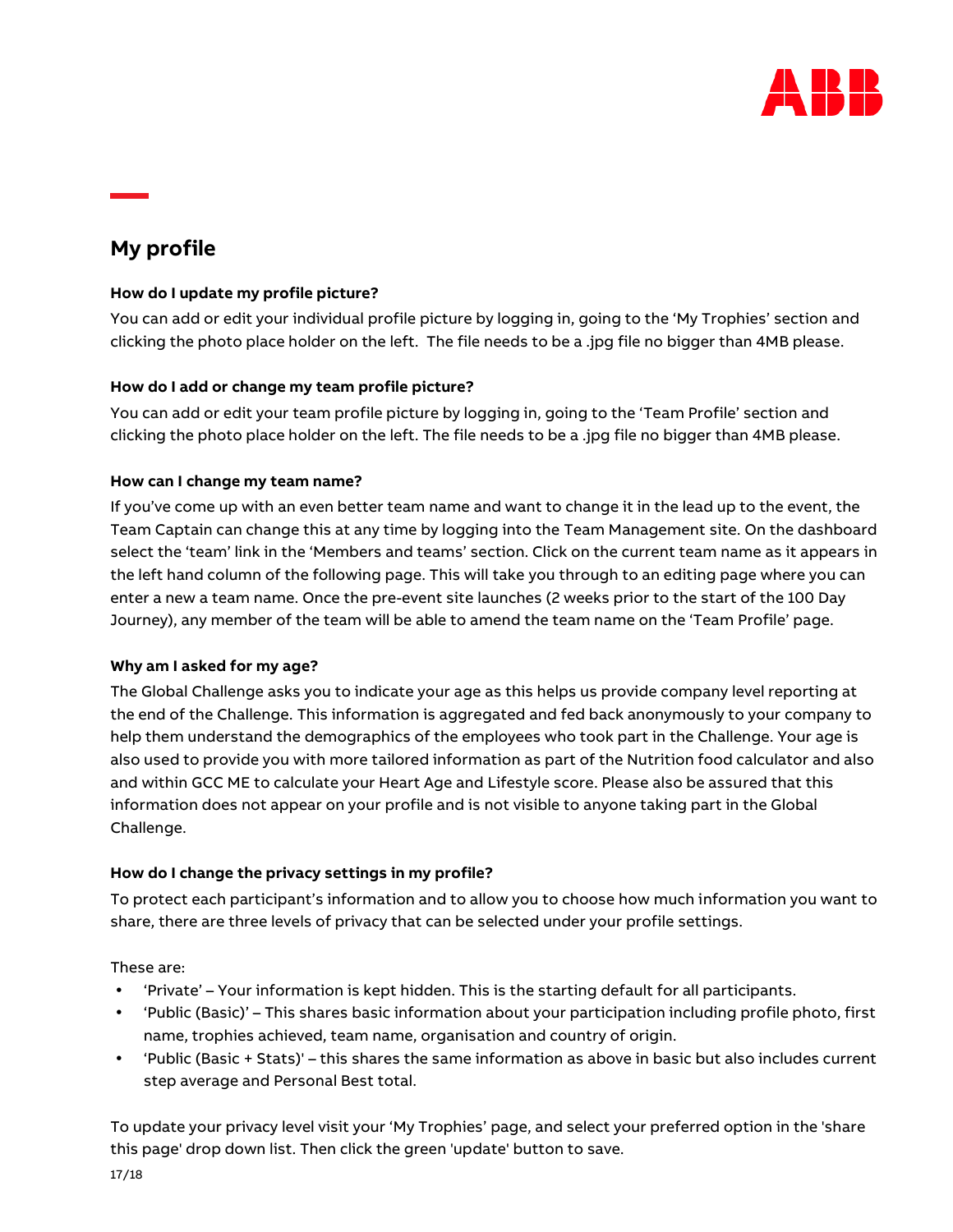

# <span id="page-16-0"></span>**My profile**

# <span id="page-16-1"></span>**How do I update my profile picture?**

You can add or edit your individual [profile](https://globalchallenge.virginpulse.com/profile/settings) picture by logging in, going to the ['My Trophies'](https://globalchallenge.virginpulse.com/trophies) section and clicking the photo place holder on the left. The file needs to be a .jpg file no bigger than 4MB please.

# <span id="page-16-2"></span>**How do I add or change my team profile picture?**

You can add or edit your team profile picture by logging in, going to the '[Team Profile](https://globalchallenge.virginpulse.com/event/team)' section and clicking the photo place holder on the left. The file needs to be a .jpg file no bigger than 4MB please.

# <span id="page-16-3"></span>**How can I change my team name?**

If you've come up with an even better team name and want to change it in the lead up to the event, the Team Captain can change this at any time by logging into the [Team Management](https://globalchallenge.virginpulse.com/manage) site. On the dashboard select the 'team' link in the 'Members and teams' section. Click on the current team name as it appears in the left hand column of the following page. This will take you through to an editing page where you can enter a new a team name. Once the pre-event site launches (2 weeks prior to the start of the 100 Day Journey), any member of the team will be able to amend the team name on the 'Team Profile' page.

# <span id="page-16-4"></span>**Why am I asked for my age?**

The Global Challenge asks you to indicate your age as this helps us provide company level reporting at the end of the Challenge. This information is aggregated and fed back anonymously to your company to help them understand the demographics of the employees who took part in the Challenge. Your age is also used to provide you with more tailored information as part of the Nutrition food calculator and also and within GCC ME to calculate your Heart Age and Lifestyle score. Please also be assured that this information does not appear on your profile and is not visible to anyone taking part in the Global Challenge.

# <span id="page-16-5"></span>**How do I change the privacy settings in my profile?**

To protect each participant's information and to allow you to choose how much information you want to share, there are three levels of privacy that can be selected under your profile settings.

These are:

- 'Private' Your information is kept hidden. This is the starting default for all participants.
- 'Public (Basic)' This shares basic information about your participation including profile photo, first name, trophies achieved, team name, organisation and country of origin.
- 'Public (Basic + Stats)' this shares the same information as above in basic but also includes current step average and Personal Best total.

To update your privacy level visit your ['My Trophies'](https://globalchallenge.virginpulse.com/trophies) page, and select your preferred option in the 'share this page' drop down list. Then click the green 'update' button to save.